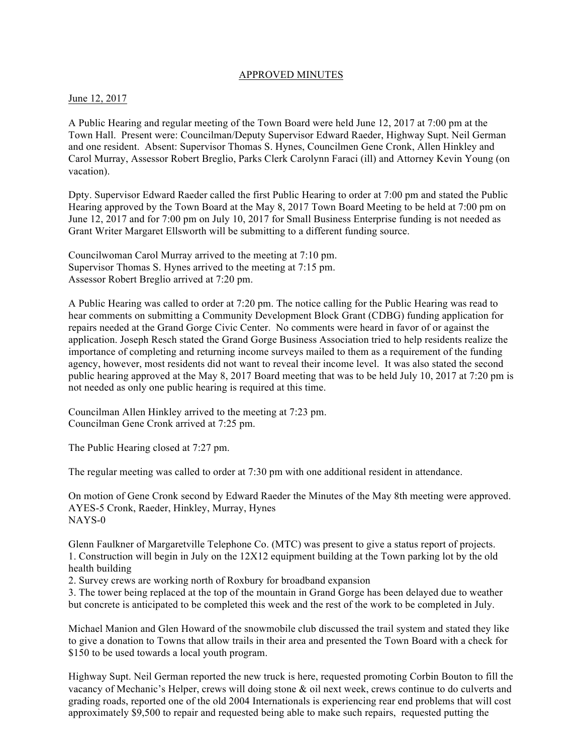### APPROVED MINUTES

#### June 12, 2017

A Public Hearing and regular meeting of the Town Board were held June 12, 2017 at 7:00 pm at the Town Hall. Present were: Councilman/Deputy Supervisor Edward Raeder, Highway Supt. Neil German and one resident. Absent: Supervisor Thomas S. Hynes, Councilmen Gene Cronk, Allen Hinkley and Carol Murray, Assessor Robert Breglio, Parks Clerk Carolynn Faraci (ill) and Attorney Kevin Young (on vacation).

Dpty. Supervisor Edward Raeder called the first Public Hearing to order at 7:00 pm and stated the Public Hearing approved by the Town Board at the May 8, 2017 Town Board Meeting to be held at 7:00 pm on June 12, 2017 and for 7:00 pm on July 10, 2017 for Small Business Enterprise funding is not needed as Grant Writer Margaret Ellsworth will be submitting to a different funding source.

Councilwoman Carol Murray arrived to the meeting at 7:10 pm. Supervisor Thomas S. Hynes arrived to the meeting at 7:15 pm. Assessor Robert Breglio arrived at 7:20 pm.

A Public Hearing was called to order at 7:20 pm. The notice calling for the Public Hearing was read to hear comments on submitting a Community Development Block Grant (CDBG) funding application for repairs needed at the Grand Gorge Civic Center. No comments were heard in favor of or against the application. Joseph Resch stated the Grand Gorge Business Association tried to help residents realize the importance of completing and returning income surveys mailed to them as a requirement of the funding agency, however, most residents did not want to reveal their income level. It was also stated the second public hearing approved at the May 8, 2017 Board meeting that was to be held July 10, 2017 at 7:20 pm is not needed as only one public hearing is required at this time.

Councilman Allen Hinkley arrived to the meeting at 7:23 pm. Councilman Gene Cronk arrived at 7:25 pm.

The Public Hearing closed at 7:27 pm.

The regular meeting was called to order at 7:30 pm with one additional resident in attendance.

On motion of Gene Cronk second by Edward Raeder the Minutes of the May 8th meeting were approved. AYES-5 Cronk, Raeder, Hinkley, Murray, Hynes NAYS-0

Glenn Faulkner of Margaretville Telephone Co. (MTC) was present to give a status report of projects. 1. Construction will begin in July on the 12X12 equipment building at the Town parking lot by the old health building

2. Survey crews are working north of Roxbury for broadband expansion

3. The tower being replaced at the top of the mountain in Grand Gorge has been delayed due to weather but concrete is anticipated to be completed this week and the rest of the work to be completed in July.

Michael Manion and Glen Howard of the snowmobile club discussed the trail system and stated they like to give a donation to Towns that allow trails in their area and presented the Town Board with a check for \$150 to be used towards a local youth program.

Highway Supt. Neil German reported the new truck is here, requested promoting Corbin Bouton to fill the vacancy of Mechanic's Helper, crews will doing stone & oil next week, crews continue to do culverts and grading roads, reported one of the old 2004 Internationals is experiencing rear end problems that will cost approximately \$9,500 to repair and requested being able to make such repairs, requested putting the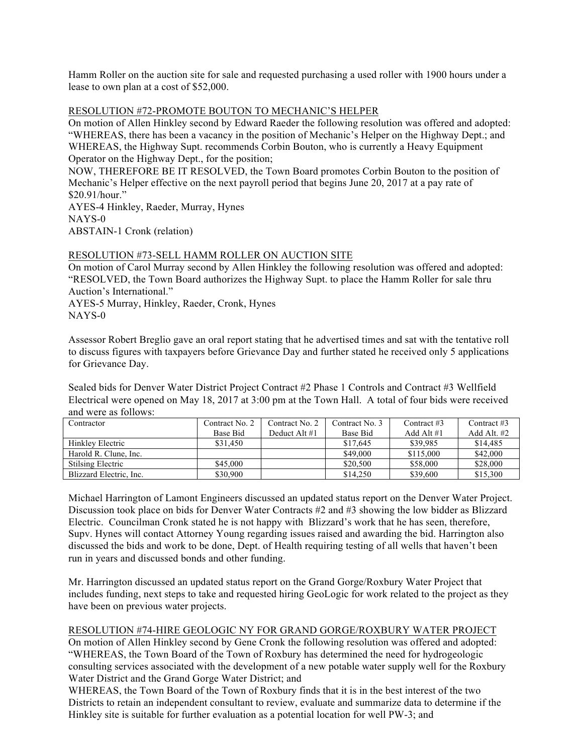Hamm Roller on the auction site for sale and requested purchasing a used roller with 1900 hours under a lease to own plan at a cost of \$52,000.

### RESOLUTION #72-PROMOTE BOUTON TO MECHANIC'S HELPER

On motion of Allen Hinkley second by Edward Raeder the following resolution was offered and adopted: "WHEREAS, there has been a vacancy in the position of Mechanic's Helper on the Highway Dept.; and WHEREAS, the Highway Supt. recommends Corbin Bouton, who is currently a Heavy Equipment Operator on the Highway Dept., for the position;

NOW, THEREFORE BE IT RESOLVED, the Town Board promotes Corbin Bouton to the position of Mechanic's Helper effective on the next payroll period that begins June 20, 2017 at a pay rate of \$20.91/hour."

AYES-4 Hinkley, Raeder, Murray, Hynes NAYS-0 ABSTAIN-1 Cronk (relation)

### RESOLUTION #73-SELL HAMM ROLLER ON AUCTION SITE

On motion of Carol Murray second by Allen Hinkley the following resolution was offered and adopted: "RESOLVED, the Town Board authorizes the Highway Supt. to place the Hamm Roller for sale thru Auction's International."

AYES-5 Murray, Hinkley, Raeder, Cronk, Hynes NAYS-0

Assessor Robert Breglio gave an oral report stating that he advertised times and sat with the tentative roll to discuss figures with taxpayers before Grievance Day and further stated he received only 5 applications for Grievance Day.

Sealed bids for Denver Water District Project Contract #2 Phase 1 Controls and Contract #3 Wellfield Electrical were opened on May 18, 2017 at 3:00 pm at the Town Hall. A total of four bids were received and were as follows:

| Contractor               | Contract No. 2 | Contract No. 2 | Contract No. 3 | Contract $#3$ | Contract $#3$ |
|--------------------------|----------------|----------------|----------------|---------------|---------------|
|                          | Base Bid       | Deduct Alt #1  | Base Bid       | Add Alt $#1$  | Add Alt. #2   |
| Hinkley Electric         | \$31.450       |                | \$17.645       | \$39.985      | \$14,485      |
| Harold R. Clune, Inc.    |                |                | \$49,000       | \$115,000     | \$42,000      |
| <b>Stilsing Electric</b> | \$45,000       |                | \$20,500       | \$58,000      | \$28,000      |
| Blizzard Electric, Inc.  | \$30,900       |                | \$14,250       | \$39,600      | \$15,300      |

Michael Harrington of Lamont Engineers discussed an updated status report on the Denver Water Project. Discussion took place on bids for Denver Water Contracts #2 and #3 showing the low bidder as Blizzard Electric. Councilman Cronk stated he is not happy with Blizzard's work that he has seen, therefore, Supv. Hynes will contact Attorney Young regarding issues raised and awarding the bid. Harrington also discussed the bids and work to be done, Dept. of Health requiring testing of all wells that haven't been run in years and discussed bonds and other funding.

Mr. Harrington discussed an updated status report on the Grand Gorge/Roxbury Water Project that includes funding, next steps to take and requested hiring GeoLogic for work related to the project as they have been on previous water projects.

# RESOLUTION #74-HIRE GEOLOGIC NY FOR GRAND GORGE/ROXBURY WATER PROJECT

On motion of Allen Hinkley second by Gene Cronk the following resolution was offered and adopted: "WHEREAS, the Town Board of the Town of Roxbury has determined the need for hydrogeologic consulting services associated with the development of a new potable water supply well for the Roxbury Water District and the Grand Gorge Water District; and

WHEREAS, the Town Board of the Town of Roxbury finds that it is in the best interest of the two Districts to retain an independent consultant to review, evaluate and summarize data to determine if the Hinkley site is suitable for further evaluation as a potential location for well PW-3; and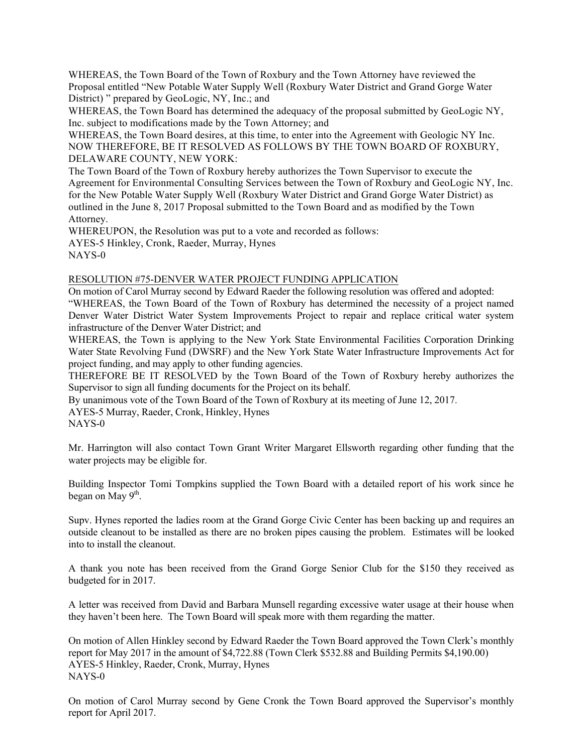WHEREAS, the Town Board of the Town of Roxbury and the Town Attorney have reviewed the Proposal entitled "New Potable Water Supply Well (Roxbury Water District and Grand Gorge Water District) " prepared by GeoLogic, NY, Inc.; and

WHEREAS, the Town Board has determined the adequacy of the proposal submitted by GeoLogic NY, Inc. subject to modifications made by the Town Attorney; and

WHEREAS, the Town Board desires, at this time, to enter into the Agreement with Geologic NY Inc. NOW THEREFORE, BE IT RESOLVED AS FOLLOWS BY THE TOWN BOARD OF ROXBURY, DELAWARE COUNTY, NEW YORK:

The Town Board of the Town of Roxbury hereby authorizes the Town Supervisor to execute the Agreement for Environmental Consulting Services between the Town of Roxbury and GeoLogic NY, Inc. for the New Potable Water Supply Well (Roxbury Water District and Grand Gorge Water District) as outlined in the June 8, 2017 Proposal submitted to the Town Board and as modified by the Town Attorney.

WHEREUPON, the Resolution was put to a vote and recorded as follows: AYES-5 Hinkley, Cronk, Raeder, Murray, Hynes NAYS-0

### RESOLUTION #75-DENVER WATER PROJECT FUNDING APPLICATION

On motion of Carol Murray second by Edward Raeder the following resolution was offered and adopted: "WHEREAS, the Town Board of the Town of Roxbury has determined the necessity of a project named Denver Water District Water System Improvements Project to repair and replace critical water system infrastructure of the Denver Water District; and

WHEREAS, the Town is applying to the New York State Environmental Facilities Corporation Drinking Water State Revolving Fund (DWSRF) and the New York State Water Infrastructure Improvements Act for project funding, and may apply to other funding agencies.

THEREFORE BE IT RESOLVED by the Town Board of the Town of Roxbury hereby authorizes the Supervisor to sign all funding documents for the Project on its behalf.

By unanimous vote of the Town Board of the Town of Roxbury at its meeting of June 12, 2017.

AYES-5 Murray, Raeder, Cronk, Hinkley, Hynes NAYS-0

Mr. Harrington will also contact Town Grant Writer Margaret Ellsworth regarding other funding that the water projects may be eligible for.

Building Inspector Tomi Tompkins supplied the Town Board with a detailed report of his work since he began on May  $9<sup>th</sup>$ .

Supv. Hynes reported the ladies room at the Grand Gorge Civic Center has been backing up and requires an outside cleanout to be installed as there are no broken pipes causing the problem. Estimates will be looked into to install the cleanout.

A thank you note has been received from the Grand Gorge Senior Club for the \$150 they received as budgeted for in 2017.

A letter was received from David and Barbara Munsell regarding excessive water usage at their house when they haven't been here. The Town Board will speak more with them regarding the matter.

On motion of Allen Hinkley second by Edward Raeder the Town Board approved the Town Clerk's monthly report for May 2017 in the amount of \$4,722.88 (Town Clerk \$532.88 and Building Permits \$4,190.00) AYES-5 Hinkley, Raeder, Cronk, Murray, Hynes NAYS-0

On motion of Carol Murray second by Gene Cronk the Town Board approved the Supervisor's monthly report for April 2017.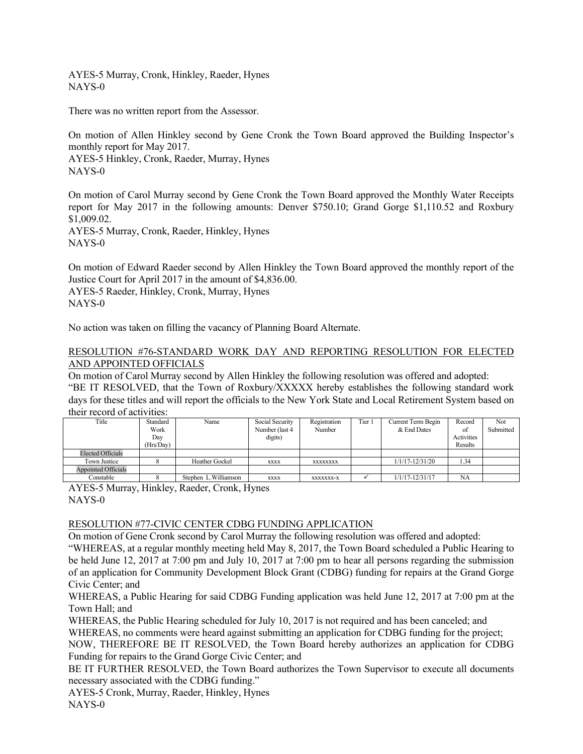AYES-5 Murray, Cronk, Hinkley, Raeder, Hynes NAYS-0

There was no written report from the Assessor.

On motion of Allen Hinkley second by Gene Cronk the Town Board approved the Building Inspector's monthly report for May 2017. AYES-5 Hinkley, Cronk, Raeder, Murray, Hynes NAYS-0

On motion of Carol Murray second by Gene Cronk the Town Board approved the Monthly Water Receipts report for May 2017 in the following amounts: Denver \$750.10; Grand Gorge \$1,110.52 and Roxbury \$1,009.02. AYES-5 Murray, Cronk, Raeder, Hinkley, Hynes

NAYS-0

On motion of Edward Raeder second by Allen Hinkley the Town Board approved the monthly report of the Justice Court for April 2017 in the amount of \$4,836.00. AYES-5 Raeder, Hinkley, Cronk, Murray, Hynes NAYS-0

No action was taken on filling the vacancy of Planning Board Alternate.

## RESOLUTION #76-STANDARD WORK DAY AND REPORTING RESOLUTION FOR ELECTED AND APPOINTED OFFICIALS

On motion of Carol Murray second by Allen Hinkley the following resolution was offered and adopted: "BE IT RESOLVED, that the Town of Roxbury/XXXXX hereby establishes the following standard work days for these titles and will report the officials to the New York State and Local Retirement System based on their record of activities:

| Title                      | Standard  | Name                  | Social Security | Registration | Tier 1 | Current Term Begin  | Record     | Not       |
|----------------------------|-----------|-----------------------|-----------------|--------------|--------|---------------------|------------|-----------|
|                            | Work      |                       | Number (last 4  | Number       |        | & End Dates         | of         | Submitted |
|                            | Day       |                       | digits)         |              |        |                     | Activities |           |
|                            | (Hrs/Day) |                       |                 |              |        |                     | Results    |           |
| <b>Elected Officials</b>   |           |                       |                 |              |        |                     |            |           |
| Town Justice               |           | <b>Heather Gockel</b> | <b>XXXX</b>     | XXXXXXXX     |        | $1/1/17 - 12/31/20$ | 1.34       |           |
| <b>Appointed Officials</b> |           |                       |                 |              |        |                     |            |           |
| Constable                  |           | Stephen L.Williamson  | <b>XXXX</b>     | XXXXXXX-X    |        | $1/1/17 - 12/31/17$ | <b>NA</b>  |           |

AYES-5 Murray, Hinkley, Raeder, Cronk, Hynes NAYS-0

# RESOLUTION #77-CIVIC CENTER CDBG FUNDING APPLICATION

On motion of Gene Cronk second by Carol Murray the following resolution was offered and adopted:

"WHEREAS, at a regular monthly meeting held May 8, 2017, the Town Board scheduled a Public Hearing to be held June 12, 2017 at 7:00 pm and July 10, 2017 at 7:00 pm to hear all persons regarding the submission of an application for Community Development Block Grant (CDBG) funding for repairs at the Grand Gorge Civic Center; and

WHEREAS, a Public Hearing for said CDBG Funding application was held June 12, 2017 at 7:00 pm at the Town Hall; and

WHEREAS, the Public Hearing scheduled for July 10, 2017 is not required and has been canceled; and

WHEREAS, no comments were heard against submitting an application for CDBG funding for the project;

NOW, THEREFORE BE IT RESOLVED, the Town Board hereby authorizes an application for CDBG Funding for repairs to the Grand Gorge Civic Center; and

BE IT FURTHER RESOLVED, the Town Board authorizes the Town Supervisor to execute all documents necessary associated with the CDBG funding."

AYES-5 Cronk, Murray, Raeder, Hinkley, Hynes NAYS-0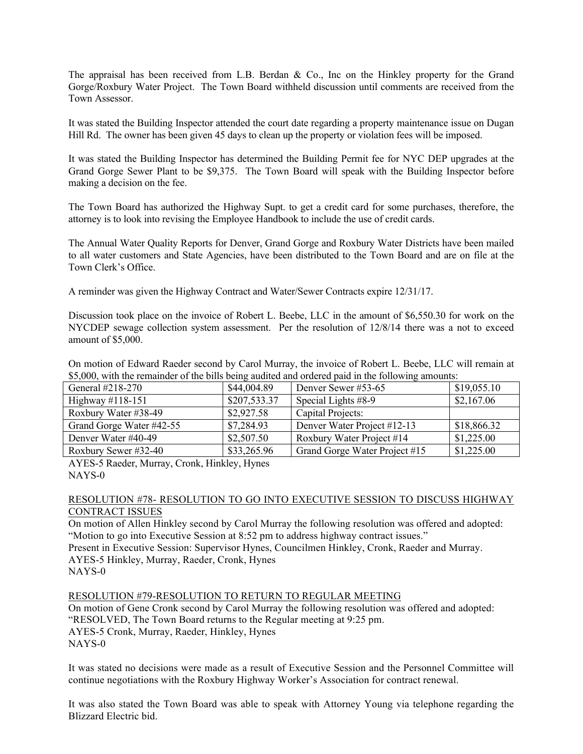The appraisal has been received from L.B. Berdan & Co., Inc on the Hinkley property for the Grand Gorge/Roxbury Water Project. The Town Board withheld discussion until comments are received from the Town Assessor.

It was stated the Building Inspector attended the court date regarding a property maintenance issue on Dugan Hill Rd. The owner has been given 45 days to clean up the property or violation fees will be imposed.

It was stated the Building Inspector has determined the Building Permit fee for NYC DEP upgrades at the Grand Gorge Sewer Plant to be \$9,375. The Town Board will speak with the Building Inspector before making a decision on the fee.

The Town Board has authorized the Highway Supt. to get a credit card for some purchases, therefore, the attorney is to look into revising the Employee Handbook to include the use of credit cards.

The Annual Water Quality Reports for Denver, Grand Gorge and Roxbury Water Districts have been mailed to all water customers and State Agencies, have been distributed to the Town Board and are on file at the Town Clerk's Office.

A reminder was given the Highway Contract and Water/Sewer Contracts expire 12/31/17.

Discussion took place on the invoice of Robert L. Beebe, LLC in the amount of \$6,550.30 for work on the NYCDEP sewage collection system assessment. Per the resolution of 12/8/14 there was a not to exceed amount of \$5,000.

On motion of Edward Raeder second by Carol Murray, the invoice of Robert L. Beebe, LLC will remain at \$5,000, with the remainder of the bills being audited and ordered paid in the following amounts:

| General #218-270         | \$44,004.89  | Denver Sewer #53-65           | \$19,055.10 |
|--------------------------|--------------|-------------------------------|-------------|
| Highway #118-151         | \$207,533.37 | Special Lights #8-9           | \$2,167.06  |
| Roxbury Water #38-49     | \$2,927.58   | Capital Projects:             |             |
| Grand Gorge Water #42-55 | \$7,284.93   | Denver Water Project #12-13   | \$18,866.32 |
| Denver Water #40-49      | \$2,507.50   | Roxbury Water Project #14     | \$1,225.00  |
| Roxbury Sewer #32-40     | \$33,265.96  | Grand Gorge Water Project #15 | \$1,225.00  |

AYES-5 Raeder, Murray, Cronk, Hinkley, Hynes NAYS-0

### RESOLUTION #78- RESOLUTION TO GO INTO EXECUTIVE SESSION TO DISCUSS HIGHWAY CONTRACT ISSUES

On motion of Allen Hinkley second by Carol Murray the following resolution was offered and adopted: "Motion to go into Executive Session at 8:52 pm to address highway contract issues." Present in Executive Session: Supervisor Hynes, Councilmen Hinkley, Cronk, Raeder and Murray.

AYES-5 Hinkley, Murray, Raeder, Cronk, Hynes NAYS-0

RESOLUTION #79-RESOLUTION TO RETURN TO REGULAR MEETING On motion of Gene Cronk second by Carol Murray the following resolution was offered and adopted:

"RESOLVED, The Town Board returns to the Regular meeting at 9:25 pm.

AYES-5 Cronk, Murray, Raeder, Hinkley, Hynes NAYS-0

It was stated no decisions were made as a result of Executive Session and the Personnel Committee will continue negotiations with the Roxbury Highway Worker's Association for contract renewal.

It was also stated the Town Board was able to speak with Attorney Young via telephone regarding the Blizzard Electric bid.